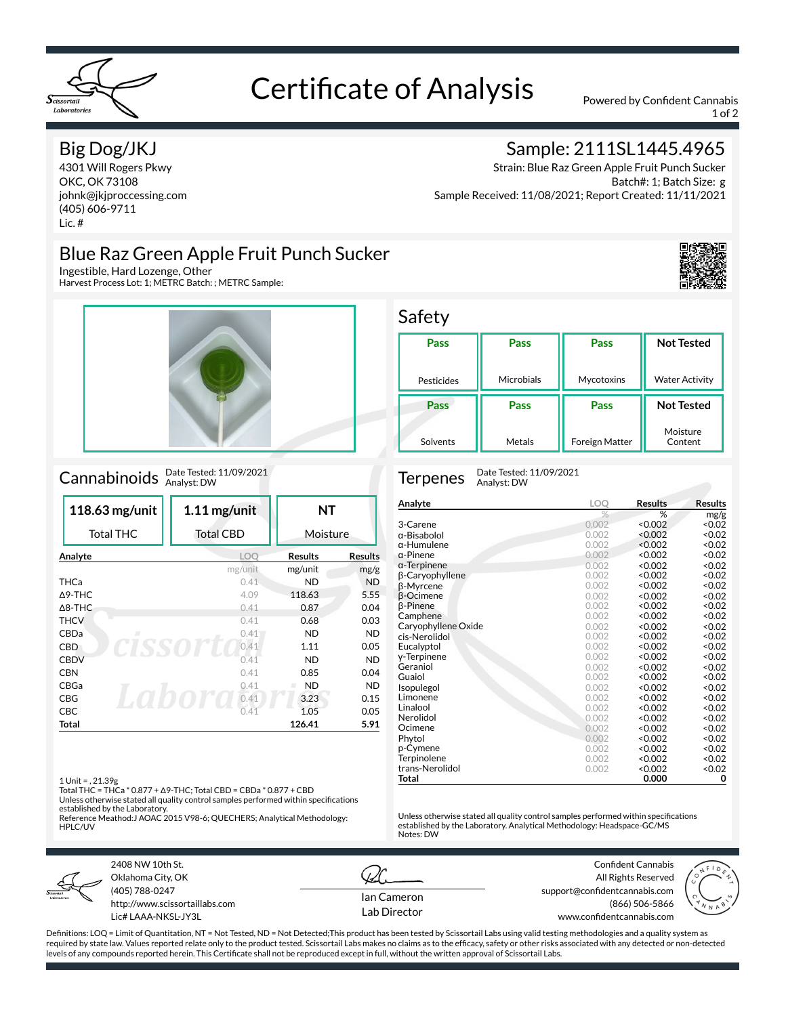

# Certificate of Analysis Powered by Confident Cannabis

1 of 2

### Big Dog/JKJ

4301 Will Rogers Pkwy OKC, OK 73108 johnk@jkjproccessing.com (405) 606-9711 Lic. #

### Blue Raz Green Apple Fruit Punch Sucker

Ingestible, Hard Lozenge, Other

Harvest Process Lot: 1; METRC Batch: ; METRC Sample:



## Cannabinoids Date Tested: 11/09/2021

| 118.63 mg/unit    | $1.11$ mg/unit   | NΤ             |                |
|-------------------|------------------|----------------|----------------|
| <b>Total THC</b>  | <b>Total CBD</b> | Moisture       |                |
| Analyte           | <b>LOO</b>       | <b>Results</b> | <b>Results</b> |
|                   | mg/unit          | mg/unit        | mg/g           |
| <b>THCa</b>       | 0.41             | ND             | <b>ND</b>      |
| $\triangle$ 9-THC | 4.09             | 118.63         | 5.55           |
| $\triangle$ 8-THC | 0.41             | 0.87           | 0.04           |
| <b>THCV</b>       | 0.41             | 0.68           | 0.03           |
| CBDa<br>л         | 0.41             | <b>ND</b>      | <b>ND</b>      |
| <b>CBD</b>        | 0.41             | 1.11           | 0.05           |
| <b>CBDV</b>       | 0.41             | <b>ND</b>      | <b>ND</b>      |
| <b>CBN</b>        | 0.41             | 0.85           | 0.04           |
| CBGa              | 0.41             | <b>ND</b><br>ш | <b>ND</b>      |
| CBG               | 0.41             | 3.23           | 0.15           |
| CBC               | 0.41             | 1.05           | 0.05           |
| Total             |                  | 126.41         | 5.91           |

### 1 Unit = , 21.39g

Total THC = THCa \* 0.877 + Δ9-THC; Total CBD = CBDa \* 0.877 + CBD

Unless otherwise stated all quality control samples performed within specifications established by the Laboratory. Reference Meathod:J AOAC 2015 V98-6; QUECHERS; Analytical Methodology:

HPLC/UV



2408 NW 10th St. Oklahoma City, OK (405) 788-0247 http://www.scissortaillabs.com Lic# LAAA-NKSL-JY3L



Notes: DW

Confident Cannabis All Rights Reserved support@confidentcannabis.com (866) 506-5866 www.confidentcannabis.com



Definitions: LOQ = Limit of Quantitation, NT = Not Tested, ND = Not Detected;This product has been tested by Scissortail Labs using valid testing methodologies and a quality system as required by state law. Values reported relate only to the product tested. Scissortail Labs makes no claims as to the efficacy, safety or other risks associated with any detected or non-detected levels of any compounds reported herein. This Certificate shall not be reproduced except in full, without the written approval of Scissortail Labs.

## Sample: 2111SL1445.4965

Strain: Blue Raz Green Apple Fruit Punch Sucker Batch#: 1; Batch Size: g Sample Received: 11/08/2021; Report Created: 11/11/2021

**Pass**

Mycotoxins

**Pass**

Foreign Matter



**Not Tested**

Water Activity

**Not Tested** Moisture Content

Safety

**Pass**

Pesticides

**Pass**

Solvents

Terpenes Date Tested: 11/09/2021 Analyst: DW

**Pass**

Microbials

**Pass**

Metals

| Analyte             | LOO   | <b>Results</b> | <b>Results</b> |
|---------------------|-------|----------------|----------------|
|                     | $\%$  | %              | mg/g           |
| 3-Carene            | 0.002 | < 0.002        | < 0.02         |
| α-Bisabolol         | 0.002 | < 0.002        | &0.02          |
| α-Humulene          | 0.002 | < 0.002        | <0.02          |
| α-Pinene            | 0.002 | < 0.002        | < 0.02         |
| α-Terpinene         | 0.002 | < 0.002        | < 0.02         |
| β-Caryophyllene     | 0.002 | < 0.002        | &0.02          |
| β-Myrcene           | 0.002 | < 0.002        | < 0.02         |
| β-Ocimene           | 0.002 | < 0.002        | < 0.02         |
| β-Pinene            | 0.002 | < 0.002        | < 0.02         |
| Camphene            | 0.002 | < 0.002        | <0.02          |
| Caryophyllene Oxide | 0.002 | < 0.002        | <0.02          |
| cis-Nerolidol       | 0.002 | < 0.002        | < 0.02         |
| Eucalyptol          | 0.002 | < 0.002        | < 0.02         |
| y-Terpinene         | 0.002 | < 0.002        | <0.02          |
| Geraniol            | 0.002 | < 0.002        | < 0.02         |
| Guaiol              | 0.002 | < 0.002        | <0.02          |
| Isopulegol          | 0.002 | < 0.002        | <0.02          |
| Limonene            | 0.002 | < 0.002        | < 0.02         |
| Linalool            | 0.002 | < 0.002        | 0.02           |
| Nerolidol           | 0.002 | < 0.002        | &0.02          |
| Ocimene             | 0.002 | < 0.002        | < 0.02         |
| Phytol              | 0.002 | < 0.002        | < 0.02         |
| p-Cymene            | 0.002 | < 0.002        | < 0.02         |
| Terpinolene         | 0.002 | < 0.002        | < 0.02         |
| trans-Nerolidol     | 0.002 | < 0.002        | < 0.02         |
| Total               |       | 0.000          | 0              |

Unless otherwise stated all quality control samples performed within specifications

established by the Laboratory. Analytical Methodology: Headspace-GC/MS